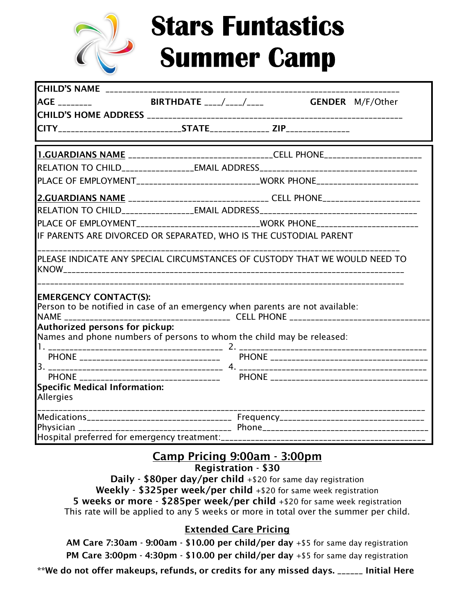

# **Stars Funtastics Summer Camp**

| $AGE$ <sub>________</sub>                                                                                     | <b>BIRTHDATE</b> ____/____/____ GENDER M/F/Other                                        |
|---------------------------------------------------------------------------------------------------------------|-----------------------------------------------------------------------------------------|
|                                                                                                               |                                                                                         |
|                                                                                                               |                                                                                         |
|                                                                                                               | <b>1.GUARDIANS NAME</b> ________________________________CELL PHONE_____________________ |
|                                                                                                               | RELATION TO CHILD_________________EMAIL ADDRESS_________________________________        |
|                                                                                                               | PLACE OF EMPLOYMENT___________________________WORK PHONE________________________        |
|                                                                                                               | 2.GUARDIANS NAME ________________________________ CELL PHONE____________________        |
|                                                                                                               |                                                                                         |
|                                                                                                               | PLACE OF EMPLOYMENT__________________________WORK PHONE________________________         |
| IF PARENTS ARE DIVORCED OR SEPARATED, WHO IS THE CUSTODIAL PARENT                                             |                                                                                         |
| PLEASE INDICATE ANY SPECIAL CIRCUMSTANCES OF CUSTODY THAT WE WOULD NEED TO                                    |                                                                                         |
| <b>EMERGENCY CONTACT(S):</b><br>Person to be notified in case of an emergency when parents are not available: |                                                                                         |
| Authorized persons for pickup:<br>Names and phone numbers of persons to whom the child may be released:       |                                                                                         |
|                                                                                                               |                                                                                         |
|                                                                                                               |                                                                                         |
|                                                                                                               |                                                                                         |
|                                                                                                               |                                                                                         |
| <b>Specific Medical Information:</b><br>Allergies                                                             |                                                                                         |
|                                                                                                               |                                                                                         |
|                                                                                                               |                                                                                         |
|                                                                                                               |                                                                                         |

# **Camp Pricing 9:00am - 3:00pm**

#### **Registration - \$30**

**Daily - \$80per day/per child** +\$20 for same day registration **Weekly - \$325per week/per child** +\$20 for same week registration **5 weeks or more - \$285per week/per child** +\$20 for same week registration This rate will be applied to any 5 weeks or more in total over the summer per child.

### **Extended Care Pricing**

**AM Care 7:30am - 9:00am - \$10.00 per child/per day** +\$5 for same day registration **PM Care 3:00pm - 4:30pm - \$10.00 per child/per day** +\$5 for same day registration

**\*\*We do not offer makeups, refunds, or credits for any missed days. \_\_\_\_\_\_ Initial Here**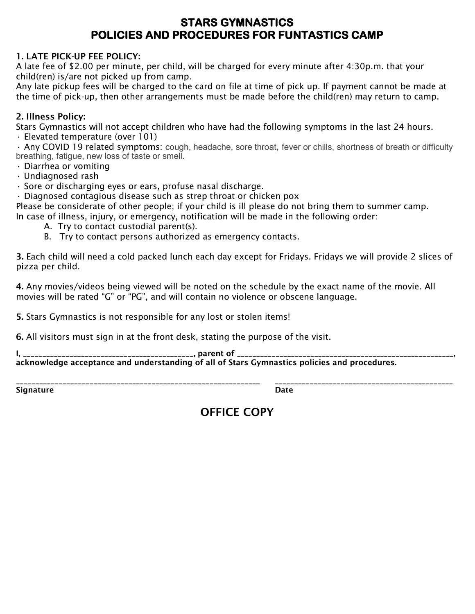## **STARS GYMNASTICS POLICIES AND PROCEDURES FOR FUNTASTICS CAMP**

#### **1. LATE PICK-UP FEE POLICY:**

A late fee of \$2.00 per minute, per child, will be charged for every minute after 4:30p.m. that your child(ren) is/are not picked up from camp.

Any late pickup fees will be charged to the card on file at time of pick up. If payment cannot be made at the time of pick-up, then other arrangements must be made before the child(ren) may return to camp.

#### **2. Illness Policy:**

Stars Gymnastics will not accept children who have had the following symptoms in the last 24 hours. • Elevated temperature (over 101)

• Any COVID 19 related symptoms: cough, headache, sore throat, fever or chills, shortness of breath or difficulty breathing, fatigue, new loss of taste or smell.

- Diarrhea or vomiting
- Undiagnosed rash
- Sore or discharging eyes or ears, profuse nasal discharge.

• Diagnosed contagious disease such as strep throat or chicken pox

Please be considerate of other people; if your child is ill please do not bring them to summer camp. In case of illness, injury, or emergency, notification will be made in the following order:

- A. Try to contact custodial parent(s).
- B. Try to contact persons authorized as emergency contacts.

**3.** Each child will need a cold packed lunch each day except for Fridays. Fridays we will provide 2 slices of pizza per child.

**4.** Any movies/videos being viewed will be noted on the schedule by the exact name of the movie. All movies will be rated "G" or "PG", and will contain no violence or obscene language.

**5.** Stars Gymnastics is not responsible for any lost or stolen items!

**6.** All visitors must sign in at the front desk, stating the purpose of the visit.

**I, \_\_\_\_\_\_\_\_\_\_\_\_\_\_\_\_\_\_\_\_\_\_\_\_\_\_\_\_\_\_\_\_\_\_\_\_\_\_\_\_\_\_\_\_, parent of \_\_\_\_\_\_\_\_\_\_\_\_\_\_\_\_\_\_\_\_\_\_\_\_\_\_\_\_\_\_\_\_\_\_\_\_\_\_\_\_\_\_\_\_\_\_\_\_\_\_\_\_\_\_\_\_, acknowledge acceptance and understanding of all of Stars Gymnastics policies and procedures.**

**Signature Date**

**\_\_\_\_\_\_\_\_\_\_\_\_\_\_\_\_\_\_\_\_\_\_\_\_\_\_\_\_\_\_\_\_\_\_\_\_\_\_\_\_\_\_\_\_\_\_\_\_\_\_\_\_\_\_\_\_\_\_\_\_\_\_\_ \_\_\_\_\_\_\_\_\_\_\_\_\_\_\_\_\_\_\_\_\_\_\_\_\_\_\_\_\_\_\_\_\_\_\_\_\_\_\_\_\_\_\_\_\_\_**

# **OFFICE COPY**